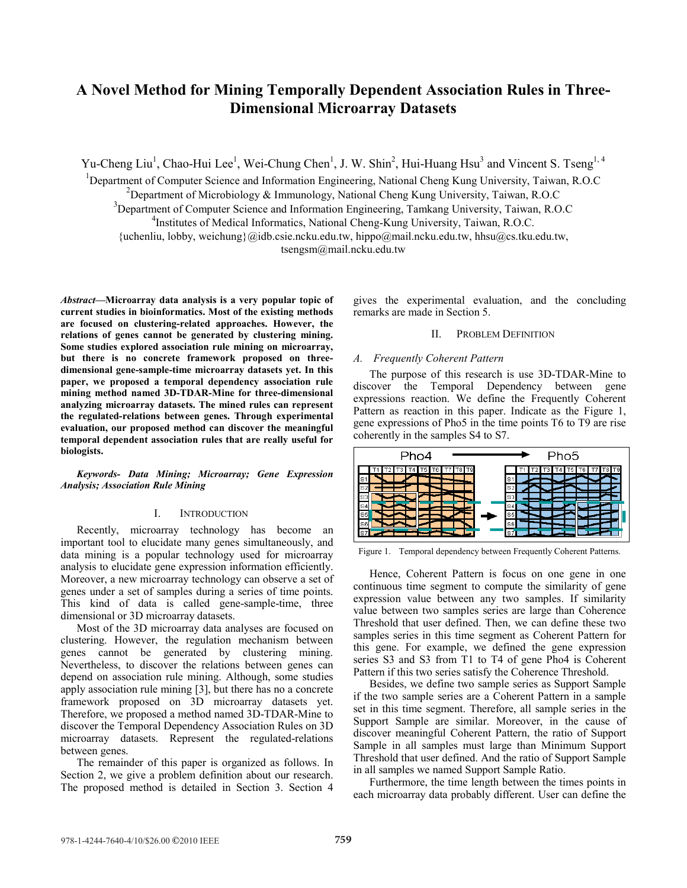# **A Novel Method for Mining Temporally Dependent Association Rules in Three-Dimensional Microarray Datasets**

Yu-Cheng Liu<sup>1</sup>, Chao-Hui Lee<sup>1</sup>, Wei-Chung Chen<sup>1</sup>, J. W. Shin<sup>2</sup>, Hui-Huang Hsu<sup>3</sup> and Vincent S. Tseng<sup>1, 4</sup>

<sup>1</sup>Department of Computer Science and Information Engineering, National Cheng Kung University, Taiwan, R.O.C

<sup>2</sup>Department of Microbiology & Immunology, National Cheng Kung University, Taiwan, R.O.C

<sup>3</sup>Department of Computer Science and Information Engineering, Tamkang University, Taiwan, R.O.C

4 Institutes of Medical Informatics, National Cheng-Kung University, Taiwan, R.O.C.

{uchenliu, lobby, weichung}@idb.csie.ncku.edu.tw, hippo@mail.ncku.edu.tw, hhsu@cs.tku.edu.tw,

tsengsm@mail.ncku.edu.tw

*Abstract***—Microarray data analysis is a very popular topic of current studies in bioinformatics. Most of the existing methods are focused on clustering-related approaches. However, the relations of genes cannot be generated by clustering mining. Some studies explored association rule mining on microarray, but there is no concrete framework proposed on threedimensional gene-sample-time microarray datasets yet. In this paper, we proposed a temporal dependency association rule mining method named 3D-TDAR-Mine for three-dimensional analyzing microarray datasets. The mined rules can represent the regulated-relations between genes. Through experimental evaluation, our proposed method can discover the meaningful temporal dependent association rules that are really useful for biologists.**

*Keywords- Data Mining; Microarray; Gene Expression Analysis; Association Rule Mining*

## I. INTRODUCTION

Recently, microarray technology has become an important tool to elucidate many genes simultaneously, and data mining is a popular technology used for microarray analysis to elucidate gene expression information efficiently. Moreover, a new microarray technology can observe a set of genes under a set of samples during a series of time points. This kind of data is called gene-sample-time, three dimensional or 3D microarray datasets.

Most of the 3D microarray data analyses are focused on clustering. However, the regulation mechanism between genes cannot be generated by clustering mining. Nevertheless, to discover the relations between genes can depend on association rule mining. Although, some studies apply association rule mining [3], but there has no a concrete framework proposed on 3D microarray datasets yet. Therefore, we proposed a method named 3D-TDAR-Mine to discover the Temporal Dependency Association Rules on 3D microarray datasets. Represent the regulated-relations between genes.

The remainder of this paper is organized as follows. In Section 2, we give a problem definition about our research. The proposed method is detailed in Section 3. Section 4

gives the experimental evaluation, and the concluding remarks are made in Section 5.

## II. PROBLEM DEFINITION

## *A. Frequently Coherent Pattern*

The purpose of this research is use 3D-TDAR-Mine to discover the Temporal Dependency between gene expressions reaction. We define the Frequently Coherent Pattern as reaction in this paper. Indicate as the Figure 1, gene expressions of Pho5 in the time points T6 to T9 are rise coherently in the samples S4 to S7.



Figure 1. Temporal dependency between Frequently Coherent Patterns.

Hence, Coherent Pattern is focus on one gene in one continuous time segment to compute the similarity of gene expression value between any two samples. If similarity value between two samples series are large than Coherence Threshold that user defined. Then, we can define these two samples series in this time segment as Coherent Pattern for this gene. For example, we defined the gene expression series S3 and S3 from T1 to T4 of gene Pho4 is Coherent Pattern if this two series satisfy the Coherence Threshold.

Besides, we define two sample series as Support Sample if the two sample series are a Coherent Pattern in a sample set in this time segment. Therefore, all sample series in the Support Sample are similar. Moreover, in the cause of discover meaningful Coherent Pattern, the ratio of Support Sample in all samples must large than Minimum Support Threshold that user defined. And the ratio of Support Sample in all samples we named Support Sample Ratio.

Furthermore, the time length between the times points in each microarray data probably different. User can define the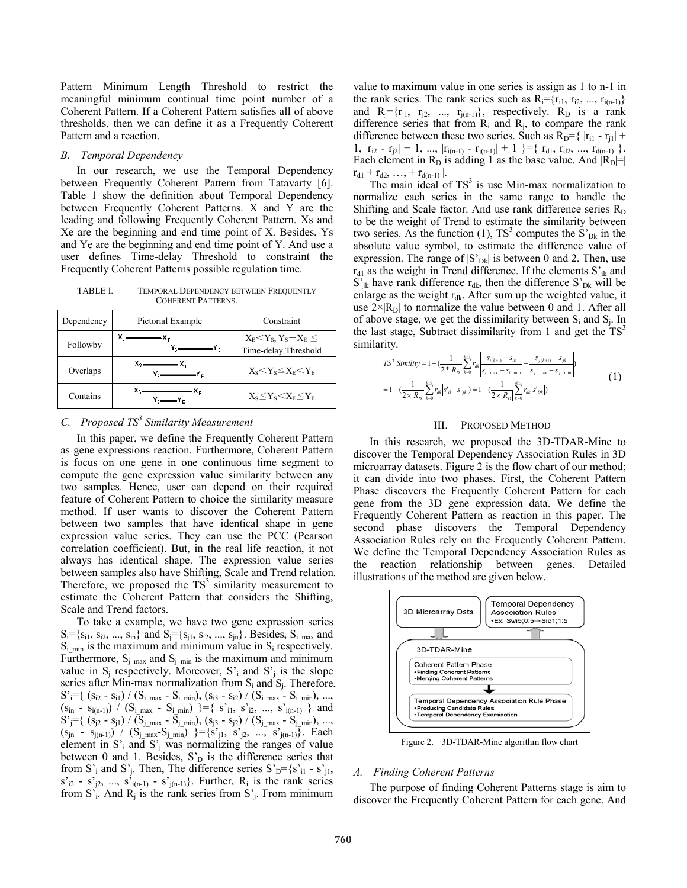Pattern Minimum Length Threshold to restrict the meaningful minimum continual time point number of a Coherent Pattern. If a Coherent Pattern satisfies all of above thresholds, then we can define it as a Frequently Coherent Pattern and a reaction.

#### *B. Temporal Dependency*

In our research, we use the Temporal Dependency between Frequently Coherent Pattern from Tatavarty [6]. Table 1 show the definition about Temporal Dependency between Frequently Coherent Patterns. X and Y are the leading and following Frequently Coherent Pattern. Xs and Xe are the beginning and end time point of X. Besides, Ys and Ye are the beginning and end time point of Y. And use a user defines Time-delay Threshold to constraint the Frequently Coherent Patterns possible regulation time.

TABLE I. TEMPORAL DEPENDENCY BETWEEN FREQUENTLY COHERENT PATTERNS.

| Dependency | Pictorial Example         | Constraint                                                                     |
|------------|---------------------------|--------------------------------------------------------------------------------|
| Followby   | $\mathsf{X}_{\mathsf{S}}$ | $X_{E}$ $\leq$ $Y_{S}$ , $Y_{S}$ $\sim$ $X_{E}$ $\leq$<br>Time-delay Threshold |
| Overlaps   |                           | $X_{S} < Y_{S} \leq X_{E} < Y_{E}$                                             |
| Contains   | X.                        | $X_{S} \leq Y_{S} \leq X_{E} \leq Y_{E}$                                       |

*C. Proposed TS<sup>3</sup> Similarity Measurement*

In this paper, we define the Frequently Coherent Pattern as gene expressions reaction. Furthermore, Coherent Pattern is focus on one gene in one continuous time segment to compute the gene expression value similarity between any two samples. Hence, user can depend on their required feature of Coherent Pattern to choice the similarity measure method. If user wants to discover the Coherent Pattern between two samples that have identical shape in gene expression value series. They can use the PCC (Pearson correlation coefficient). But, in the real life reaction, it not always has identical shape. The expression value series between samples also have Shifting, Scale and Trend relation. Therefore, we proposed the  $TS<sup>3</sup>$  similarity measurement to estimate the Coherent Pattern that considers the Shifting, Scale and Trend factors.

To take a example, we have two gene expression series  $S_i = \{s_{i1}, s_{i2}, ..., s_{in}\}\$  and  $S_j = \{s_{j1}, s_{j2}, ..., s_{jn}\}\$ . Besides,  $S_i$ <sub>max</sub> and  $S_i$ <sub>min</sub> is the maximum and minimum value in  $S_i$  respectively. Furthermore,  $S_i_{max}$  and  $S_i_{min}$  is the maximum and minimum value in  $S_i$  respectively. Moreover,  $S_i$  and  $S_i$  is the slope series after Min-max normalization from  $S_i$  and  $S_j$ . Therefore,  $S'_{i}=\{(s_{i2} - s_{i1}) / (S_{imax} - S_{imin}), (s_{i3} - s_{i2}) / (S_{imax} - S_{imin}), ...,$  $(s_{in} - s_{i(n-1)}) / (S_{i,max} - S_{i,min}) \} = \{ s'_{i1}, s'_{i2}, ..., s'_{i(n-1)} \}$  and  $S'$  = { (s<sub>j2</sub> - s<sub>j1</sub>) / ( $S_j$ <sub>max</sub> -  $S_j$ <sub>min</sub>), (s<sub>j3</sub> - s<sub>j2</sub>) / (S<sub>jmax</sub> - S<sub>jmin</sub>), ...,  $(s_{jn} - s_{j(n-1)})$  /  $(S_{j,max}-S_{j,min})$  }={s<sup>'</sup><sub>j1</sub>, s<sup>'</sup><sub>j2</sub>, ..., s'<sub>j(n-1)</sub>}. Each element in  $S_i$  and  $S_j$  was normalizing the ranges of value between 0 and 1. Besides,  $S_D$  is the difference series that from S'<sub>i</sub> and S'<sub>j</sub>. Then, The difference series S'<sub>D</sub>={S'<sub>i1</sub> - S'<sub>j1</sub>,  $s'_{i2}$  -  $s'_{j2}$ , ...,  $s'_{i(n-1)}$  -  $s'_{j(n-1)}$ . Further,  $R_i$  is the rank series from S'<sub>i</sub>. And R<sub>i</sub> is the rank series from S'<sub>i</sub>. From minimum

value to maximum value in one series is assign as 1 to n-1 in the rank series. The rank series such as  $R_i = {r_{i1}, r_{i2}, ..., r_{i(n-1)}}$ and  $R_j = {r_{j1}, r_{j2}, ..., r_{j(n-1)}}$ , respectively.  $R_D$  is a rank difference series that from  $R_i$  and  $R_j$ , to compare the rank difference between these two series. Such as  $R_D = \{ |r_{i1} - r_{i1}| +$ 1,  $|r_{i2} - r_{i2}| + 1$ , ...,  $|r_{i(n-1)} - r_{j(n-1)}| + 1$  } = {  $r_{d1}$ ,  $r_{d2}$ , ...,  $r_{d(n-1)}$  }. Each element in  $R_D$  is adding 1 as the base value. And  $|R_D|=$  $r_{d1} + r_{d2}, \ldots, + r_{d(n-1)}$ .

The main ideal of  $TS<sup>3</sup>$  is use Min-max normalization to normalize each series in the same range to handle the Shifting and Scale factor. And use rank difference series  $R_D$ to be the weight of Trend to estimate the similarity between two series. As the function (1),  $TS^3$  computes the  $S_{Dk}$  in the absolute value symbol, to estimate the difference value of expression. The range of  $|S'_{Dk}|$  is between 0 and 2. Then, use  $r_{d1}$  as the weight in Trend difference. If the elements S'<sub>ik</sub> and  $S'_{jk}$  have rank difference  $r_{dk}$ , then the difference  $S'_{Dk}$  will be enlarge as the weight  $r_{dk}$ . After sum up the weighted value, it use  $2 \times |R_D|$  to normalize the value between 0 and 1. After all of above stage, we get the dissimilarity between  $S_i$  and  $S_j$ . In the last stage, Subtract dissimilarity from 1 and get the  $TS<sup>3</sup>$ similarity.

$$
TS^3 \text{ Similarity} = 1 - \left(\frac{1}{2 * |R_D|}\sum_{k=0}^{n-1} r_{ik} \left| \frac{s_{i(k+1)} - s_{ik}}{s_{i_{\text{max}}} - s_{i_{\text{min}}}} - \frac{s_{j(k+1)} - s_{jk}}{s_{j_{\text{max}}} - s_{j_{\text{min}}}} \right|
$$
  
= 
$$
1 - \left(\frac{1}{2 * |R_D|}\sum_{k=0}^{n-1} r_{ik} |s_{ik} - s_{jk}| \right) = 1 - \left(\frac{1}{2 * |R_D|} \sum_{k=0}^{n-1} r_{ik} |s_{jk}| \right)
$$
 (1)

## III. PROPOSED METHOD

In this research, we proposed the 3D-TDAR-Mine to discover the Temporal Dependency Association Rules in 3D microarray datasets. Figure 2 is the flow chart of our method; it can divide into two phases. First, the Coherent Pattern Phase discovers the Frequently Coherent Pattern for each gene from the 3D gene expression data. We define the Frequently Coherent Pattern as reaction in this paper. The second phase discovers the Temporal Dependency Association Rules rely on the Frequently Coherent Pattern. We define the Temporal Dependency Association Rules as the reaction relationship between genes. Detailed illustrations of the method are given below.



Figure 2. 3D-TDAR-Mine algorithm flow chart

#### *A. Finding Coherent Patterns*

The purpose of finding Coherent Patterns stage is aim to discover the Frequently Coherent Pattern for each gene. And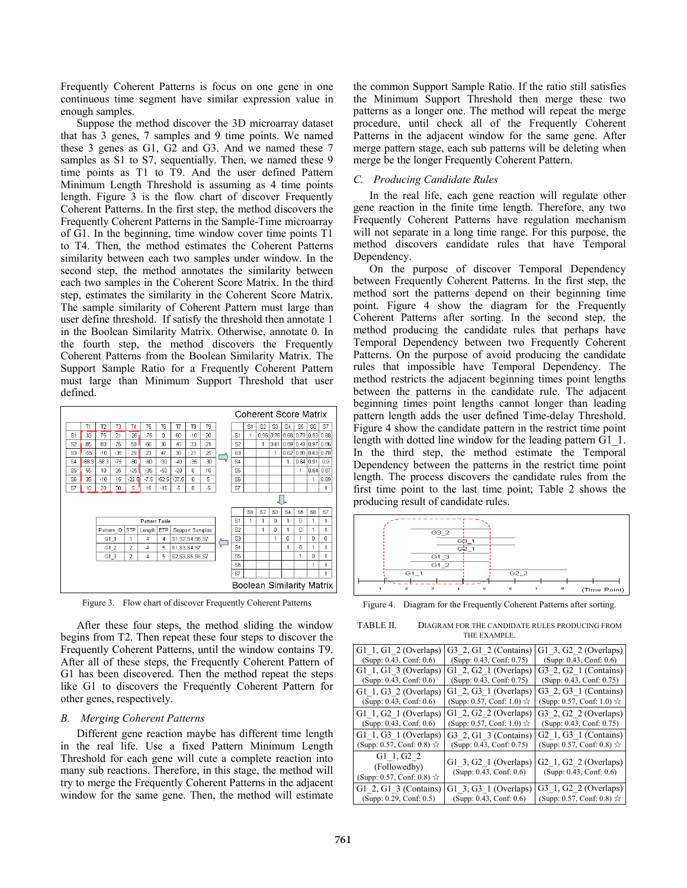Frequently Coherent Patterns is focus on one gene in one continuous time segment have similar expression value in enough samples.

Suppose the method discover the 3D microarray dataset that has 3 genes, 7 samples and 9 time points. We named these 3 genes as G1, G2 and G3. And we named these 7 samples as S1 to S7, sequentially. Then, we named these 9 time points as T1 to T9. And the user defined Pattern Minimum Length Threshold is assuming as 4 time points length. Figure 3 is the flow chart of discover Frequently Coherent Patterns. In the first step, the method discovers the Frequently Coherent Patterns in the Sample-Time microarray of G1. In the beginning, time window cover time points T1 to T4. Then, the method estimates the Coherent Patterns similarity between each two samples under window. In the second step, the method annotates the similarity between each two samples in the Coherent Score Matrix. In the third step, estimates the similarity in the Coherent Score Matrix. The sample similarity of Coherent Pattern must large than user define threshold. If satisfy the threshold then annotate 1 in the Boolean Similarity Matrix. Otherwise, annotate 0. In the fourth step, the method discovers the Frequently Coherent Patterns from the Boolean Similarity Matrix. The Support Sample Ratio for a Frequently Coherent Pattern must large than Minimum Support Threshold that user defined.

|                | Coherent Score Matrix     |                |                |       |                |               |          |                    |                 |                  |    |                |                |                |          |          |                     |          |          |
|----------------|---------------------------|----------------|----------------|-------|----------------|---------------|----------|--------------------|-----------------|------------------|----|----------------|----------------|----------------|----------|----------|---------------------|----------|----------|
|                |                           | T <sub>1</sub> | T <sub>2</sub> | T3    | T4             | T5            | T6       | $\overline{17}$    | T <sub>8</sub>  | T9               |    |                | S <sub>1</sub> | S <sub>2</sub> | S3       | S4       | S5                  | S6       | S7       |
| S1             |                           | 33             | 75             | 21    | $-25$          | $-75$         | $\Omega$ | 80                 | $-10$           | 20               |    | S1             | 1              | 0.95           | 0.76     |          | 0.88 0.79 0.93 0.88 |          |          |
| S <sub>2</sub> |                           | 85             | 80             | 75    | 50             | 60            | 30       | 40                 | 33              | 21               |    | S <sub>2</sub> |                | 1              | 0.61     | 0.89     | $0.49$ 0.97         |          | 0.86     |
| S3             |                           | -55            | $-10$          | $-35$ | 25             | 23            | 47       | 30                 | 21              | 25               |    | S3             |                |                | 1        | 0.62     | $0.89$ 0.63 0.78    |          |          |
| S4             |                           | $-88.3$        | $-58.3$        | $-75$ | $-50$          | -60           | -30      | $-40$              | $-35$           | -30              |    | S4             |                |                |          | 1        | 0.64                | 0.91     | 0.9      |
| S5             |                           | 55             | 1 <sup>n</sup> | 35    | $-25$          | $-35$         | -50      | $-20$              | n               | 10 <sup>10</sup> |    | S5             |                |                |          |          | 1                   | 0.64     | 0.87     |
| Sĥ             |                           | 35             | $-10$          | 15    | $-22.5$        | $-7.5$        | $-52.5$  | -37.5              | n               | 5                |    | SR             |                |                |          |          |                     | 1        | n 89     |
| S7             |                           | 10             | 20             | 30    | 5              | 15            | $-15$    | -5                 | 0               | $-5$             |    | S7             |                |                |          |          |                     |          | 1        |
|                |                           |                |                |       |                |               |          |                    |                 |                  |    |                |                |                |          |          |                     |          |          |
|                |                           |                |                |       |                |               |          |                    |                 |                  |    |                | S <sub>1</sub> | S <sub>2</sub> | S3       | S4       | S5                  | S6       | S7       |
|                |                           |                |                |       |                | Pattern Tahle |          |                    |                 |                  |    | $51$           | 1              | 1              | $\Omega$ | 1        | $\Omega$            | 1        | 1        |
|                |                           |                | Pattern_ID     |       | <b>STP</b>     | Lenath I      | ETP      |                    | Support Samples |                  |    | S <sub>2</sub> |                | 1              | 0        | 1        | $\Omega$            | 1        | 1        |
|                |                           |                | $G1_1$         |       | 1              | 4             | 4        | S1, S2, S4, S6, S7 |                 |                  |    | S3             |                |                | 1        | $\Omega$ | 1                   | $\Omega$ | $\Omega$ |
|                |                           |                | G1 2           |       | 2              | 4             | 5        | S1, S3, S4, S7     |                 |                  |    | S <sub>4</sub> |                |                |          | 1        | $\Omega$            | 1        | 1        |
|                |                           |                | G1 3           |       | $\overline{a}$ | 4             | 5        | S2, S3, S5, S6, S7 |                 |                  |    | S5             |                |                |          |          | 1                   | n        | 1        |
|                |                           |                |                |       |                |               |          |                    | S6              |                  |    |                |                |                | 1        | 1        |                     |          |          |
|                |                           |                |                |       |                |               |          |                    |                 |                  | S7 |                |                |                |          |          |                     | 1        |          |
|                | Boolean Similarity Matrix |                |                |       |                |               |          |                    |                 |                  |    |                |                |                |          |          |                     |          |          |

Figure 3. Flow chart of discover Frequently Coherent Patterns

After these four steps, the method sliding the window begins from T2. Then repeat these four steps to discover the Frequently Coherent Patterns, until the window contains T9. After all of these steps, the Frequently Coherent Pattern of G1 has been discovered. Then the method repeat the steps like G1 to discovers the Frequently Coherent Pattern for other genes, respectively.

## *B. Merging Coherent Patterns*

Different gene reaction maybe has different time length in the real life. Use a fixed Pattern Minimum Length Threshold for each gene will cute a complete reaction into many sub reactions. Therefore, in this stage, the method will try to merge the Frequently Coherent Patterns in the adjacent window for the same gene. Then, the method will estimate

the common Support Sample Ratio. If the ratio still satisfies the Minimum Support Threshold then merge these two patterns as a longer one. The method will repeat the merge procedure, until check all of the Frequently Coherent Patterns in the adjacent window for the same gene. After merge pattern stage, each sub patterns will be deleting when merge be the longer Frequently Coherent Pattern.

## *C. Producing Candidate Rules*

In the real life, each gene reaction will regulate other gene reaction in the finite time length. Therefore, any two Frequently Coherent Patterns have regulation mechanism will not separate in a long time range. For this purpose, the method discovers candidate rules that have Temporal Dependency.

On the purpose of discover Temporal Dependency between Frequently Coherent Patterns. In the first step, the method sort the patterns depend on their beginning time point. Figure 4 show the diagram for the Frequently Coherent Patterns after sorting. In the second step, the method producing the candidate rules that perhaps have Temporal Dependency between two Frequently Coherent Patterns. On the purpose of avoid producing the candidate rules that impossible have Temporal Dependency. The method restricts the adjacent beginning times point lengths between the patterns in the candidate rule. The adjacent beginning times point lengths cannot longer than leading pattern length adds the user defined Time-delay Threshold. Figure 4 show the candidate pattern in the restrict time point length with dotted line window for the leading pattern G1\_1. In the third step, the method estimate the Temporal Dependency between the patterns in the restrict time point length. The process discovers the candidate rules from the first time point to the last time point; Table 2 shows the producing result of candidate rules.



Figure 4. Diagram for the Frequently Coherent Patterns after sorting.

TABLE II. DIAGRAM FOR THE CANDIDATE RULES PRODUCING FROM THE EXAMPLE.

| $G1$ 1, $G1$ 2 (Overlaps)                                           | G3 $2, G1$ $2$ (Contains)                            | $G1$ 3, $G2$ 2 (Overlaps)                          |
|---------------------------------------------------------------------|------------------------------------------------------|----------------------------------------------------|
| (Supp: 0.43, Conf: 0.6)                                             | (Supp: 0.43, Conf: 0.75)                             | (Supp: 0.43, Conf: 0.6)                            |
| $G1 \; 1, G1 \; 3$ (Overlaps)                                       | $G1$ 2, $G2$ 1 (Overlaps)                            | $G3$ 2, $G2$ 1 (Contains)                          |
| (Supp: 0.43, Conf: 0.6)                                             | (Supp: 0.43, Conf: 0.75)                             | (Supp: 0.43, Conf: 0.75)                           |
| $G1$ 1, $G3$ 2 (Overlaps)                                           | $G1$ 2, $G3$ 1 (Overlaps)                            | G3 2, G3 1 (Contains)                              |
| (Supp: 0.43, Conf: 0.6)                                             | (Supp: 0.57, Conf: 1.0) $\approx$                    | (Supp: 0.57, Conf: 1.0) $\approx$                  |
| $G1 \; 1, G2 \; 1$ (Overlaps)                                       | G1 2, G2 $2$ (Overlaps)                              | G3 2, G2 2 (Overlaps)                              |
| (Supp: 0.43, Conf: 0.6)                                             | (Supp: 0.57, Conf: 1.0) $\approx$                    | (Supp: 0.43, Conf: 0.75)                           |
| $G1$ 1, $G3$ 1 (Overlaps)                                           | G3 2, G1 3 (Contains)                                | G <sub>2</sub> 1, G <sub>3</sub> 1 (Contains)      |
| (Supp: 0.57, Conf: 0.8) $\approx$                                   | (Supp: 0.43, Conf: 0.75)                             | (Supp: 0.57, Conf: 0.8) $\approx$                  |
| $G1$ 1, $G2$ 2<br>(Followedby)<br>(Supp: 0.57, Conf: 0.8) $\approx$ | $G1$ 3, $G2$ 1 (Overlaps)<br>(Supp: 0.43, Conf: 0.6) | G2 $1, G2$ 2 (Overlaps)<br>(Supp: 0.43, Conf: 0.6) |
| G1 2, G1 3 (Contains)                                               | $G1$ 3, $G3$ 1 (Overlaps)                            | $G3$ 1, $G2$ 2 (Overlaps)                          |
| (Supp: 0.29, Conf: 0.5)                                             | (Supp: 0.43, Conf: 0.6)                              | (Supp: 0.57, Conf: 0.8) $\hat{\vartriangle}$       |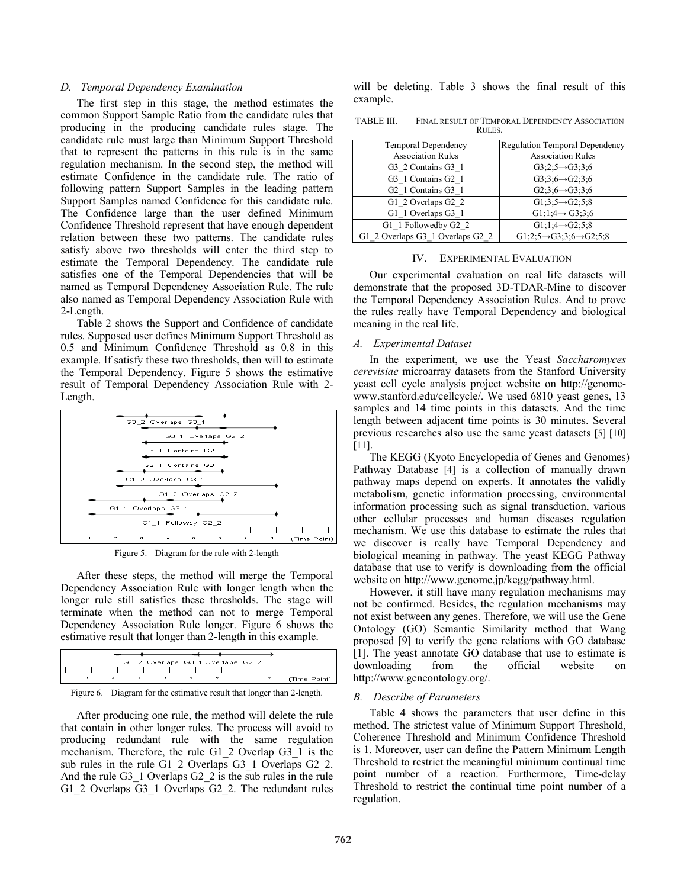## *D. Temporal Dependency Examination*

The first step in this stage, the method estimates the common Support Sample Ratio from the candidate rules that producing in the producing candidate rules stage. The candidate rule must large than Minimum Support Threshold that to represent the patterns in this rule is in the same regulation mechanism. In the second step, the method will estimate Confidence in the candidate rule. The ratio of following pattern Support Samples in the leading pattern Support Samples named Confidence for this candidate rule. The Confidence large than the user defined Minimum Confidence Threshold represent that have enough dependent relation between these two patterns. The candidate rules satisfy above two thresholds will enter the third step to estimate the Temporal Dependency. The candidate rule satisfies one of the Temporal Dependencies that will be named as Temporal Dependency Association Rule. The rule also named as Temporal Dependency Association Rule with 2-Length.

Table 2 shows the Support and Confidence of candidate rules. Supposed user defines Minimum Support Threshold as 0.5 and Minimum Confidence Threshold as 0.8 in this example. If satisfy these two thresholds, then will to estimate the Temporal Dependency. Figure 5 shows the estimative result of Temporal Dependency Association Rule with 2- Length.



Figure 5. Diagram for the rule with 2-length

After these steps, the method will merge the Temporal Dependency Association Rule with longer length when the longer rule still satisfies these thresholds. The stage will terminate when the method can not to merge Temporal Dependency Association Rule longer. Figure 6 shows the estimative result that longer than 2-length in this example.

|  |  |  | G1 2 Overlaps G3 1 Overlaps G2 2 |   |              |
|--|--|--|----------------------------------|---|--------------|
|  |  |  |                                  |   |              |
|  |  |  |                                  |   |              |
|  |  |  |                                  | 8 | (Time Point) |

Figure 6. Diagram for the estimative result that longer than 2-length.

After producing one rule, the method will delete the rule that contain in other longer rules. The process will avoid to producing redundant rule with the same regulation mechanism. Therefore, the rule G1\_2 Overlap G3\_1 is the sub rules in the rule G1\_2 Overlaps G3\_1 Overlaps G2\_2. And the rule G3\_1 Overlaps G2\_2 is the sub rules in the rule G1\_2 Overlaps G3\_1 Overlaps G2\_2. The redundant rules will be deleting. Table 3 shows the final result of this example.

TABLE III. FINAL RESULT OF TEMPORAL DEPENDENCY ASSOCIATION **RULES** 

| <b>Temporal Dependency</b>                 | Regulation Temporal Dependency                   |
|--------------------------------------------|--------------------------------------------------|
| <b>Association Rules</b>                   | <b>Association Rules</b>                         |
| G3 2 Contains G3 1                         | $G3;2;5 \rightarrow G3;3;6$                      |
| G <sub>3</sub> 1 Contains G <sub>2</sub> 1 | $G3:3:6 \rightarrow G2:3:6$                      |
| G <sub>2</sub> 1 Contains G <sub>3</sub> 1 | $G2:3:6 \rightarrow G3:3:6$                      |
| $\overline{G1}$ 2 Overlaps $G2$ 2          | $G1;3;5 \rightarrow G2;5;8$                      |
| G1 1 Overlaps G3 1                         | $G1:1:4 \rightarrow G3:3:6$                      |
| G1 1 Followedby G2 2                       | $G1:1:4 \rightarrow G2:5:8$                      |
| G1 2 Overlaps G3 1 Overlaps G2 2           | G1:2:5 $\rightarrow$ G3:3:6 $\rightarrow$ G2:5:8 |

#### IV. EXPERIMENTAL EVALUATION

Our experimental evaluation on real life datasets will demonstrate that the proposed 3D-TDAR-Mine to discover the Temporal Dependency Association Rules. And to prove the rules really have Temporal Dependency and biological meaning in the real life.

## *A. Experimental Dataset*

In the experiment, we use the Yeast *Saccharomyces cerevisiae* microarray datasets from the Stanford University yeast cell cycle analysis project website on http://genomewww.stanford.edu/cellcycle/. We used 6810 yeast genes, 13 samples and 14 time points in this datasets. And the time length between adjacent time points is 30 minutes. Several previous researches also use the same yeast datasets [5] [10] [11].

The KEGG (Kyoto Encyclopedia of Genes and Genomes) Pathway Database [4] is a collection of manually drawn pathway maps depend on experts. It annotates the validly metabolism, genetic information processing, environmental information processing such as signal transduction, various other cellular processes and human diseases regulation mechanism. We use this database to estimate the rules that we discover is really have Temporal Dependency and biological meaning in pathway. The yeast KEGG Pathway database that use to verify is downloading from the official website on http://www.genome.jp/kegg/pathway.html.

However, it still have many regulation mechanisms may not be confirmed. Besides, the regulation mechanisms may not exist between any genes. Therefore, we will use the Gene Ontology (GO) Semantic Similarity method that Wang proposed [9] to verify the gene relations with GO database [1]. The yeast annotate GO database that use to estimate is downloading from the official website on http://www.geneontology.org/.

## *B. Describe of Parameters*

Table 4 shows the parameters that user define in this method. The strictest value of Minimum Support Threshold, Coherence Threshold and Minimum Confidence Threshold is 1. Moreover, user can define the Pattern Minimum Length Threshold to restrict the meaningful minimum continual time point number of a reaction. Furthermore, Time-delay Threshold to restrict the continual time point number of a regulation.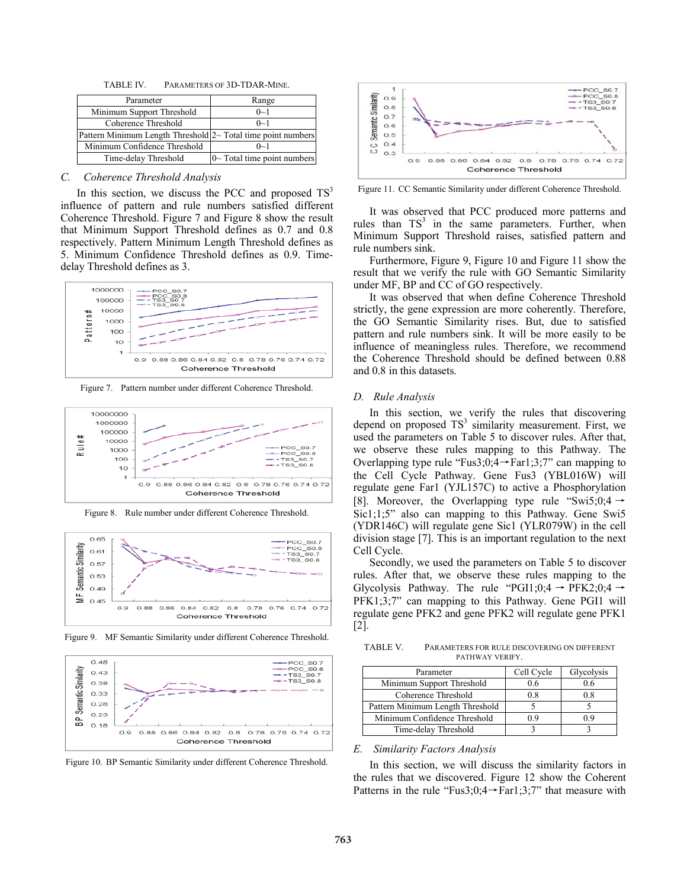|  | TABLE IV. | PARAMETERS OF 3D-TDAR-MINE. |
|--|-----------|-----------------------------|
|--|-----------|-----------------------------|

| Parameter                                                     | Range                          |
|---------------------------------------------------------------|--------------------------------|
| Minimum Support Threshold                                     | $0 - 1$                        |
| Coherence Threshold                                           | $0 - 1$                        |
| Pattern Minimum Length Threshold $2$ Total time point numbers |                                |
| Minimum Confidence Threshold                                  | $0 - 1$                        |
| Time-delay Threshold                                          | $0$ ~ Total time point numbers |

## *C. Coherence Threshold Analysis*

In this section, we discuss the PCC and proposed  $TS<sup>3</sup>$ influence of pattern and rule numbers satisfied different Coherence Threshold. Figure 7 and Figure 8 show the result that Minimum Support Threshold defines as 0.7 and 0.8 respectively. Pattern Minimum Length Threshold defines as 5. Minimum Confidence Threshold defines as 0.9. Timedelay Threshold defines as 3.



Figure 7. Pattern number under different Coherence Threshold.



Figure 8. Rule number under different Coherence Threshold.



Figure 9. MF Semantic Similarity under different Coherence Threshold.



Figure 10. BP Semantic Similarity under different Coherence Threshold.



Figure 11. CC Semantic Similarity under different Coherence Threshold.

It was observed that PCC produced more patterns and rules than  $TS<sup>3</sup>$  in the same parameters. Further, when Minimum Support Threshold raises, satisfied pattern and rule numbers sink.

Furthermore, Figure 9, Figure 10 and Figure 11 show the result that we verify the rule with GO Semantic Similarity under MF, BP and CC of GO respectively.

It was observed that when define Coherence Threshold strictly, the gene expression are more coherently. Therefore, the GO Semantic Similarity rises. But, due to satisfied pattern and rule numbers sink. It will be more easily to be influence of meaningless rules. Therefore, we recommend the Coherence Threshold should be defined between 0.88 and 0.8 in this datasets.

#### *D. Rule Analysis*

In this section, we verify the rules that discovering depend on proposed  $TS<sup>3</sup>$  similarity measurement. First, we used the parameters on Table 5 to discover rules. After that, we observe these rules mapping to this Pathway. The Overlapping type rule "Fus3;0;4 $\rightarrow$ Far1;3;7" can mapping to the Cell Cycle Pathway. Gene Fus3 (YBL016W) will regulate gene Far1 (YJL157C) to active a Phosphorylation [8]. Moreover, the Overlapping type rule "Swi5;0;4  $\rightarrow$ Sic1;1;5" also can mapping to this Pathway. Gene Swi5 (YDR146C) will regulate gene Sic1 (YLR079W) in the cell division stage [7]. This is an important regulation to the next Cell Cycle.

Secondly, we used the parameters on Table 5 to discover rules. After that, we observe these rules mapping to the Glycolysis Pathway. The rule "PGI1;0;4  $\rightarrow$  PFK2;0;4  $\rightarrow$ PFK1;3;7" can mapping to this Pathway. Gene PGI1 will regulate gene PFK2 and gene PFK2 will regulate gene PFK1 [2].

TABLE V. PARAMETERS FOR RULE DISCOVERING ON DIFFERENT PATHWAY VERIFY.

| Parameter                        | Cell Cycle | Glycolysis |
|----------------------------------|------------|------------|
| Minimum Support Threshold        | 0.6        | 0.6        |
| Coherence Threshold              | 0.8        | 0.8        |
| Pattern Minimum Length Threshold |            |            |
| Minimum Confidence Threshold     | በ ዓ        | () 9       |
| Time-delay Threshold             |            |            |

#### *E. Similarity Factors Analysis*

In this section, we will discuss the similarity factors in the rules that we discovered. Figure 12 show the Coherent Patterns in the rule "Fus3;0;4 $\rightarrow$ Far1;3;7" that measure with